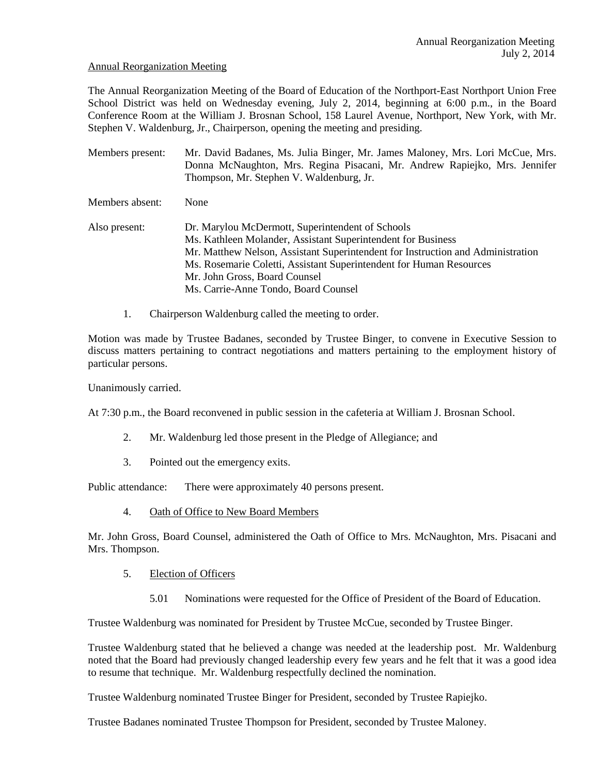### Annual Reorganization Meeting

The Annual Reorganization Meeting of the Board of Education of the Northport-East Northport Union Free School District was held on Wednesday evening, July 2, 2014, beginning at 6:00 p.m., in the Board Conference Room at the William J. Brosnan School, 158 Laurel Avenue, Northport, New York, with Mr. Stephen V. Waldenburg, Jr., Chairperson, opening the meeting and presiding.

Members present: Mr. David Badanes, Ms. Julia Binger, Mr. James Maloney, Mrs. Lori McCue, Mrs. Donna McNaughton, Mrs. Regina Pisacani, Mr. Andrew Rapiejko, Mrs. Jennifer Thompson, Mr. Stephen V. Waldenburg, Jr. Members absent: None Also present: Dr. Marylou McDermott, Superintendent of Schools Ms. Kathleen Molander, Assistant Superintendent for Business Mr. Matthew Nelson, Assistant Superintendent for Instruction and Administration Ms. Rosemarie Coletti, Assistant Superintendent for Human Resources Mr. John Gross, Board Counsel Ms. Carrie-Anne Tondo, Board Counsel

1. Chairperson Waldenburg called the meeting to order.

Motion was made by Trustee Badanes, seconded by Trustee Binger, to convene in Executive Session to discuss matters pertaining to contract negotiations and matters pertaining to the employment history of particular persons.

Unanimously carried.

At 7:30 p.m., the Board reconvened in public session in the cafeteria at William J. Brosnan School.

- 2. Mr. Waldenburg led those present in the Pledge of Allegiance; and
- 3. Pointed out the emergency exits.

Public attendance: There were approximately 40 persons present.

4. Oath of Office to New Board Members

Mr. John Gross, Board Counsel, administered the Oath of Office to Mrs. McNaughton, Mrs. Pisacani and Mrs. Thompson.

- 5. Election of Officers
	- 5.01 Nominations were requested for the Office of President of the Board of Education.

Trustee Waldenburg was nominated for President by Trustee McCue, seconded by Trustee Binger.

Trustee Waldenburg stated that he believed a change was needed at the leadership post. Mr. Waldenburg noted that the Board had previously changed leadership every few years and he felt that it was a good idea to resume that technique. Mr. Waldenburg respectfully declined the nomination.

Trustee Waldenburg nominated Trustee Binger for President, seconded by Trustee Rapiejko.

Trustee Badanes nominated Trustee Thompson for President, seconded by Trustee Maloney.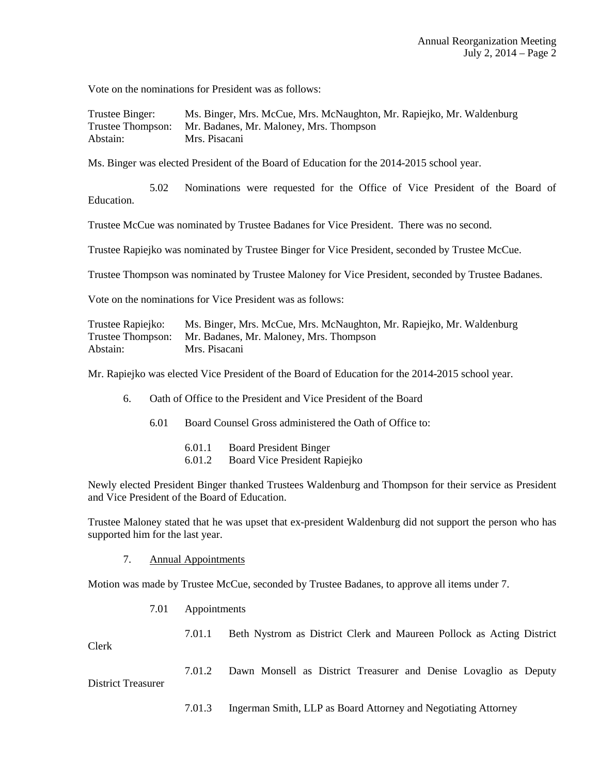Vote on the nominations for President was as follows:

| Trustee Binger: | Ms. Binger, Mrs. McCue, Mrs. McNaughton, Mr. Rapiejko, Mr. Waldenburg |
|-----------------|-----------------------------------------------------------------------|
|                 | Trustee Thompson: Mr. Badanes, Mr. Maloney, Mrs. Thompson             |
| Abstain:        | Mrs. Pisacani                                                         |

Ms. Binger was elected President of the Board of Education for the 2014-2015 school year.

 5.02 Nominations were requested for the Office of Vice President of the Board of Education.

Trustee McCue was nominated by Trustee Badanes for Vice President. There was no second.

Trustee Rapiejko was nominated by Trustee Binger for Vice President, seconded by Trustee McCue.

Trustee Thompson was nominated by Trustee Maloney for Vice President, seconded by Trustee Badanes.

Vote on the nominations for Vice President was as follows:

| Trustee Rapiejko: | Ms. Binger, Mrs. McCue, Mrs. McNaughton, Mr. Rapiejko, Mr. Waldenburg |
|-------------------|-----------------------------------------------------------------------|
|                   | Trustee Thompson: Mr. Badanes, Mr. Maloney, Mrs. Thompson             |
| Abstain:          | Mrs. Pisacani                                                         |

Mr. Rapiejko was elected Vice President of the Board of Education for the 2014-2015 school year.

- 6. Oath of Office to the President and Vice President of the Board
	- 6.01 Board Counsel Gross administered the Oath of Office to:
		- 6.01.1 Board President Binger
		- 6.01.2 Board Vice President Rapiejko

Newly elected President Binger thanked Trustees Waldenburg and Thompson for their service as President and Vice President of the Board of Education.

Trustee Maloney stated that he was upset that ex-president Waldenburg did not support the person who has supported him for the last year.

7. Annual Appointments

Motion was made by Trustee McCue, seconded by Trustee Badanes, to approve all items under 7.

7.01 Appointments

 7.01.1 Beth Nystrom as District Clerk and Maureen Pollock as Acting District Clerk

7.01.2 Dawn Monsell as District Treasurer and Denise Lovaglio as Deputy

District Treasurer

7.01.3 Ingerman Smith, LLP as Board Attorney and Negotiating Attorney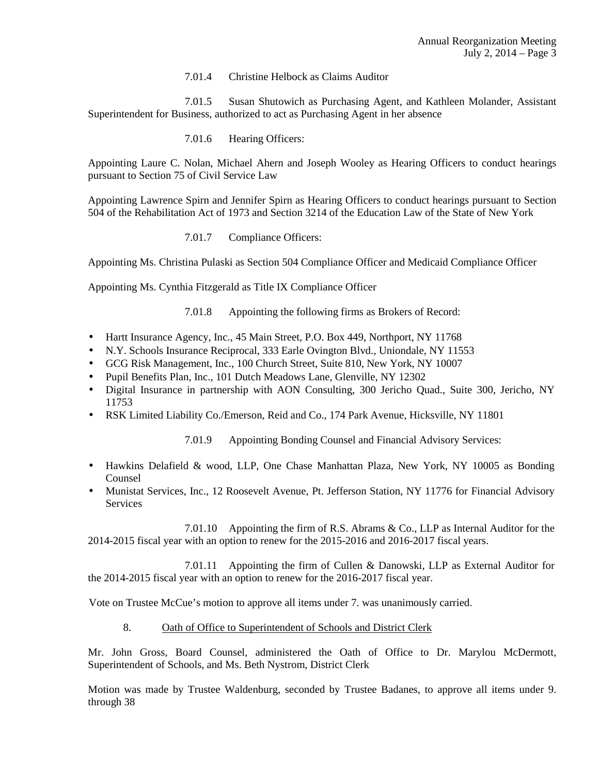7.01.4 Christine Helbock as Claims Auditor

 7.01.5 Susan Shutowich as Purchasing Agent, and Kathleen Molander, Assistant Superintendent for Business, authorized to act as Purchasing Agent in her absence

7.01.6 Hearing Officers:

Appointing Laure C. Nolan, Michael Ahern and Joseph Wooley as Hearing Officers to conduct hearings pursuant to Section 75 of Civil Service Law

Appointing Lawrence Spirn and Jennifer Spirn as Hearing Officers to conduct hearings pursuant to Section 504 of the Rehabilitation Act of 1973 and Section 3214 of the Education Law of the State of New York

7.01.7 Compliance Officers:

Appointing Ms. Christina Pulaski as Section 504 Compliance Officer and Medicaid Compliance Officer

Appointing Ms. Cynthia Fitzgerald as Title IX Compliance Officer

- 7.01.8 Appointing the following firms as Brokers of Record:
- Hartt Insurance Agency, Inc., 45 Main Street, P.O. Box 449, Northport, NY 11768
- N.Y. Schools Insurance Reciprocal, 333 Earle Ovington Blvd., Uniondale, NY 11553
- GCG Risk Management, Inc., 100 Church Street, Suite 810, New York, NY 10007
- Pupil Benefits Plan, Inc., 101 Dutch Meadows Lane, Glenville, NY 12302
- Digital Insurance in partnership with AON Consulting, 300 Jericho Quad., Suite 300, Jericho, NY 11753
- RSK Limited Liability Co./Emerson, Reid and Co., 174 Park Avenue, Hicksville, NY 11801

7.01.9 Appointing Bonding Counsel and Financial Advisory Services:

- Hawkins Delafield & wood, LLP, One Chase Manhattan Plaza, New York, NY 10005 as Bonding Counsel
- Munistat Services, Inc., 12 Roosevelt Avenue, Pt. Jefferson Station, NY 11776 for Financial Advisory **Services**

 7.01.10 Appointing the firm of R.S. Abrams & Co., LLP as Internal Auditor for the 2014-2015 fiscal year with an option to renew for the 2015-2016 and 2016-2017 fiscal years.

 7.01.11 Appointing the firm of Cullen & Danowski, LLP as External Auditor for the 2014-2015 fiscal year with an option to renew for the 2016-2017 fiscal year.

Vote on Trustee McCue's motion to approve all items under 7. was unanimously carried.

8. Oath of Office to Superintendent of Schools and District Clerk

Mr. John Gross, Board Counsel, administered the Oath of Office to Dr. Marylou McDermott, Superintendent of Schools, and Ms. Beth Nystrom, District Clerk

Motion was made by Trustee Waldenburg, seconded by Trustee Badanes, to approve all items under 9. through 38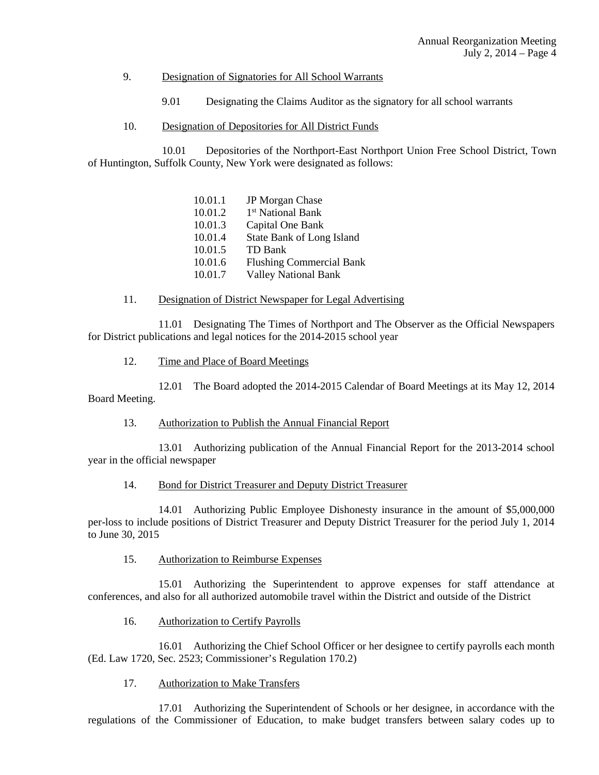### 9. Designation of Signatories for All School Warrants

- 9.01 Designating the Claims Auditor as the signatory for all school warrants
- 10. Designation of Depositories for All District Funds

 10.01 Depositories of the Northport-East Northport Union Free School District, Town of Huntington, Suffolk County, New York were designated as follows:

| 10.01.1 | <b>JP</b> Morgan Chase          |
|---------|---------------------------------|
| 10.01.2 | 1 <sup>st</sup> National Bank   |
| 10.01.3 | Capital One Bank                |
| 10.01.4 | State Bank of Long Island       |
| 10.01.5 | TD Bank                         |
| 10.01.6 | <b>Flushing Commercial Bank</b> |
| 10.01.7 | <b>Valley National Bank</b>     |
|         |                                 |

### 11. Designation of District Newspaper for Legal Advertising

 11.01 Designating The Times of Northport and The Observer as the Official Newspapers for District publications and legal notices for the 2014-2015 school year

12. Time and Place of Board Meetings

 12.01 The Board adopted the 2014-2015 Calendar of Board Meetings at its May 12, 2014 Board Meeting.

### 13. Authorization to Publish the Annual Financial Report

 13.01 Authorizing publication of the Annual Financial Report for the 2013-2014 school year in the official newspaper

### 14. Bond for District Treasurer and Deputy District Treasurer

 14.01 Authorizing Public Employee Dishonesty insurance in the amount of \$5,000,000 per-loss to include positions of District Treasurer and Deputy District Treasurer for the period July 1, 2014 to June 30, 2015

## 15. Authorization to Reimburse Expenses

 15.01 Authorizing the Superintendent to approve expenses for staff attendance at conferences, and also for all authorized automobile travel within the District and outside of the District

## 16. Authorization to Certify Payrolls

 16.01 Authorizing the Chief School Officer or her designee to certify payrolls each month (Ed. Law 1720, Sec. 2523; Commissioner's Regulation 170.2)

# 17. Authorization to Make Transfers

 17.01 Authorizing the Superintendent of Schools or her designee, in accordance with the regulations of the Commissioner of Education, to make budget transfers between salary codes up to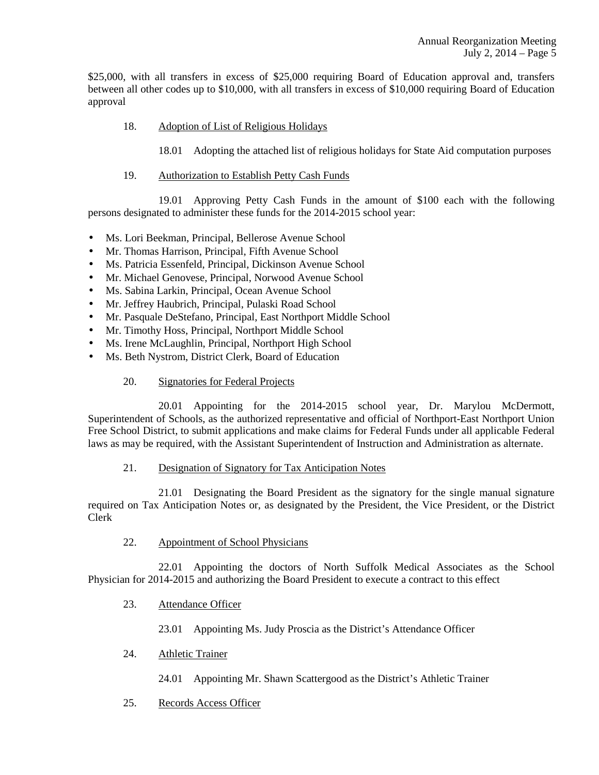\$25,000, with all transfers in excess of \$25,000 requiring Board of Education approval and, transfers between all other codes up to \$10,000, with all transfers in excess of \$10,000 requiring Board of Education approval

18. Adoption of List of Religious Holidays

18.01 Adopting the attached list of religious holidays for State Aid computation purposes

19. Authorization to Establish Petty Cash Funds

 19.01 Approving Petty Cash Funds in the amount of \$100 each with the following persons designated to administer these funds for the 2014-2015 school year:

- Ms. Lori Beekman, Principal, Bellerose Avenue School
- Mr. Thomas Harrison, Principal, Fifth Avenue School
- Ms. Patricia Essenfeld, Principal, Dickinson Avenue School
- Mr. Michael Genovese, Principal, Norwood Avenue School
- Ms. Sabina Larkin, Principal, Ocean Avenue School
- Mr. Jeffrey Haubrich, Principal, Pulaski Road School
- Mr. Pasquale DeStefano, Principal, East Northport Middle School
- Mr. Timothy Hoss, Principal, Northport Middle School
- Ms. Irene McLaughlin, Principal, Northport High School
- Ms. Beth Nystrom, District Clerk, Board of Education

# 20. Signatories for Federal Projects

 20.01 Appointing for the 2014-2015 school year, Dr. Marylou McDermott, Superintendent of Schools, as the authorized representative and official of Northport-East Northport Union Free School District, to submit applications and make claims for Federal Funds under all applicable Federal laws as may be required, with the Assistant Superintendent of Instruction and Administration as alternate.

# 21. Designation of Signatory for Tax Anticipation Notes

 21.01 Designating the Board President as the signatory for the single manual signature required on Tax Anticipation Notes or, as designated by the President, the Vice President, or the District Clerk

22. Appointment of School Physicians

 22.01 Appointing the doctors of North Suffolk Medical Associates as the School Physician for 2014-2015 and authorizing the Board President to execute a contract to this effect

23. Attendance Officer

23.01 Appointing Ms. Judy Proscia as the District's Attendance Officer

- 24. Athletic Trainer
	- 24.01 Appointing Mr. Shawn Scattergood as the District's Athletic Trainer
- 25. Records Access Officer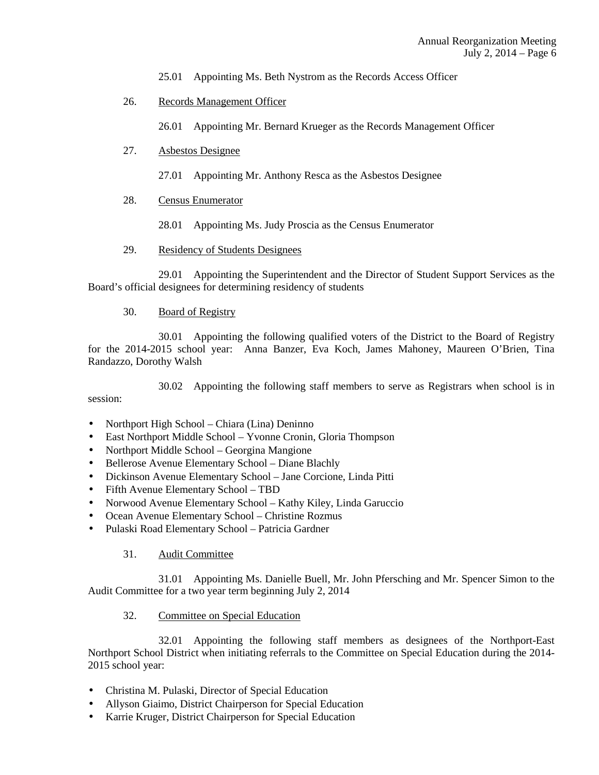25.01 Appointing Ms. Beth Nystrom as the Records Access Officer

26. Records Management Officer

26.01 Appointing Mr. Bernard Krueger as the Records Management Officer

## 27. Asbestos Designee

27.01 Appointing Mr. Anthony Resca as the Asbestos Designee

## 28. Census Enumerator

28.01 Appointing Ms. Judy Proscia as the Census Enumerator

29. Residency of Students Designees

 29.01 Appointing the Superintendent and the Director of Student Support Services as the Board's official designees for determining residency of students

### 30. Board of Registry

 30.01 Appointing the following qualified voters of the District to the Board of Registry for the 2014-2015 school year: Anna Banzer, Eva Koch, James Mahoney, Maureen O'Brien, Tina Randazzo, Dorothy Walsh

 30.02 Appointing the following staff members to serve as Registrars when school is in session:

- Northport High School Chiara (Lina) Deninno
- East Northport Middle School Yvonne Cronin, Gloria Thompson
- Northport Middle School Georgina Mangione
- Bellerose Avenue Elementary School Diane Blachly
- Dickinson Avenue Elementary School Jane Corcione, Linda Pitti
- Fifth Avenue Elementary School TBD
- Norwood Avenue Elementary School Kathy Kiley, Linda Garuccio
- Ocean Avenue Elementary School Christine Rozmus
- Pulaski Road Elementary School Patricia Gardner

## 31. Audit Committee

 31.01 Appointing Ms. Danielle Buell, Mr. John Pfersching and Mr. Spencer Simon to the Audit Committee for a two year term beginning July 2, 2014

## 32. Committee on Special Education

 32.01 Appointing the following staff members as designees of the Northport-East Northport School District when initiating referrals to the Committee on Special Education during the 2014- 2015 school year:

- Christina M. Pulaski, Director of Special Education
- Allyson Giaimo, District Chairperson for Special Education
- Karrie Kruger, District Chairperson for Special Education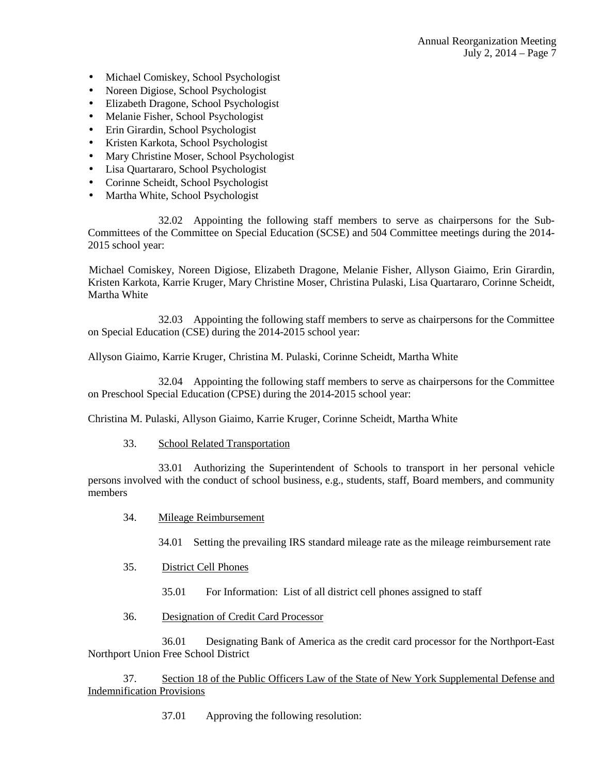- Michael Comiskey, School Psychologist
- Noreen Digiose, School Psychologist
- Elizabeth Dragone, School Psychologist
- Melanie Fisher, School Psychologist
- Erin Girardin, School Psychologist
- Kristen Karkota, School Psychologist
- Mary Christine Moser, School Psychologist
- Lisa Quartararo, School Psychologist
- Corinne Scheidt, School Psychologist
- Martha White, School Psychologist

 32.02 Appointing the following staff members to serve as chairpersons for the Sub-Committees of the Committee on Special Education (SCSE) and 504 Committee meetings during the 2014- 2015 school year:

 Michael Comiskey, Noreen Digiose, Elizabeth Dragone, Melanie Fisher, Allyson Giaimo, Erin Girardin, Kristen Karkota, Karrie Kruger, Mary Christine Moser, Christina Pulaski, Lisa Quartararo, Corinne Scheidt, Martha White

 32.03 Appointing the following staff members to serve as chairpersons for the Committee on Special Education (CSE) during the 2014-2015 school year:

Allyson Giaimo, Karrie Kruger, Christina M. Pulaski, Corinne Scheidt, Martha White

 32.04 Appointing the following staff members to serve as chairpersons for the Committee on Preschool Special Education (CPSE) during the 2014-2015 school year:

Christina M. Pulaski, Allyson Giaimo, Karrie Kruger, Corinne Scheidt, Martha White

33. School Related Transportation

 33.01 Authorizing the Superintendent of Schools to transport in her personal vehicle persons involved with the conduct of school business, e.g., students, staff, Board members, and community members

34. Mileage Reimbursement

34.01 Setting the prevailing IRS standard mileage rate as the mileage reimbursement rate

35. District Cell Phones

35.01 For Information: List of all district cell phones assigned to staff

36. Designation of Credit Card Processor

 36.01 Designating Bank of America as the credit card processor for the Northport-East Northport Union Free School District

 37. Section 18 of the Public Officers Law of the State of New York Supplemental Defense and Indemnification Provisions

37.01 Approving the following resolution: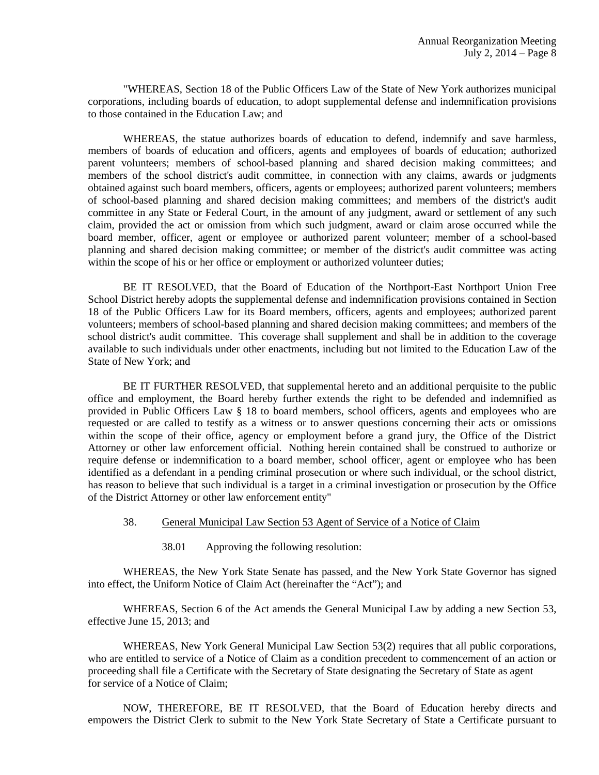"WHEREAS, Section 18 of the Public Officers Law of the State of New York authorizes municipal corporations, including boards of education, to adopt supplemental defense and indemnification provisions to those contained in the Education Law; and

WHEREAS, the statue authorizes boards of education to defend, indemnify and save harmless, members of boards of education and officers, agents and employees of boards of education; authorized parent volunteers; members of school-based planning and shared decision making committees; and members of the school district's audit committee, in connection with any claims, awards or judgments obtained against such board members, officers, agents or employees; authorized parent volunteers; members of school-based planning and shared decision making committees; and members of the district's audit committee in any State or Federal Court, in the amount of any judgment, award or settlement of any such claim, provided the act or omission from which such judgment, award or claim arose occurred while the board member, officer, agent or employee or authorized parent volunteer; member of a school-based planning and shared decision making committee; or member of the district's audit committee was acting within the scope of his or her office or employment or authorized volunteer duties;

BE IT RESOLVED, that the Board of Education of the Northport-East Northport Union Free School District hereby adopts the supplemental defense and indemnification provisions contained in Section 18 of the Public Officers Law for its Board members, officers, agents and employees; authorized parent volunteers; members of school-based planning and shared decision making committees; and members of the school district's audit committee. This coverage shall supplement and shall be in addition to the coverage available to such individuals under other enactments, including but not limited to the Education Law of the State of New York; and

BE IT FURTHER RESOLVED, that supplemental hereto and an additional perquisite to the public office and employment, the Board hereby further extends the right to be defended and indemnified as provided in Public Officers Law § 18 to board members, school officers, agents and employees who are requested or are called to testify as a witness or to answer questions concerning their acts or omissions within the scope of their office, agency or employment before a grand jury, the Office of the District Attorney or other law enforcement official. Nothing herein contained shall be construed to authorize or require defense or indemnification to a board member, school officer, agent or employee who has been identified as a defendant in a pending criminal prosecution or where such individual, or the school district, has reason to believe that such individual is a target in a criminal investigation or prosecution by the Office of the District Attorney or other law enforcement entity"

### 38. General Municipal Law Section 53 Agent of Service of a Notice of Claim

38.01 Approving the following resolution:

WHEREAS, the New York State Senate has passed, and the New York State Governor has signed into effect, the Uniform Notice of Claim Act (hereinafter the "Act"); and

WHEREAS, Section 6 of the Act amends the General Municipal Law by adding a new Section 53, effective June 15, 2013; and

WHEREAS, New York General Municipal Law Section 53(2) requires that all public corporations, who are entitled to service of a Notice of Claim as a condition precedent to commencement of an action or proceeding shall file a Certificate with the Secretary of State designating the Secretary of State as agent for service of a Notice of Claim;

NOW, THEREFORE, BE IT RESOLVED, that the Board of Education hereby directs and empowers the District Clerk to submit to the New York State Secretary of State a Certificate pursuant to